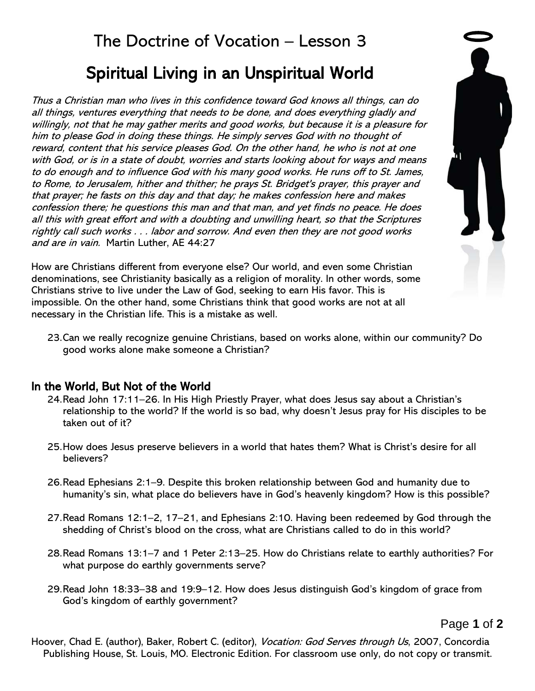Thus a Christian man who lives in this confidence toward God knows all things, can do all things, ventures everything that needs to be done, and does everything gladly and willingly, not that he may gather merits and good works, but because it is a pleasure for him to please God in doing these things. He simply serves God with no thought of reward, content that his service pleases God. On the other hand, he who is not at one with God, or is in a state of doubt, worries and starts looking about for ways and means to do enough and to influence God with his many good works. He runs off to St. James, to Rome, to Jerusalem, hither and thither; he prays St. Bridget's prayer, this prayer and that prayer; he fasts on this day and that day; he makes confession here and makes confession there; he questions this man and that man, and yet finds no peace. He does all this with great effort and with a doubting and unwilling heart, so that the Scriptures rightly call such works . . . labor and sorrow. And even then they are not good works and are in vain. Martin Luther, AE 44:27

How are Christians different from everyone else? Our world, and even some Christian denominations, see Christianity basically as a religion of morality. In other words, some Christians strive to live under the Law of God, seeking to earn His favor. This is impossible. On the other hand, some Christians think that good works are not at all necessary in the Christian life. This is a mistake as well.



23.Can we really recognize genuine Christians, based on works alone, within our community? Do good works alone make someone a Christian?

# In the World, But Not of the World

- 24.Read John 17:11–26. In His High Priestly Prayer, what does Jesus say about a Christian's relationship to the world? If the world is so bad, why doesn't Jesus pray for His disciples to be taken out of it?
- 25.How does Jesus preserve believers in a world that hates them? What is Christ's desire for all believers?
- 26.Read Ephesians 2:1–9. Despite this broken relationship between God and humanity due to humanity's sin, what place do believers have in God's heavenly kingdom? How is this possible?
- 27.Read Romans 12:1–2, 17–21, and Ephesians 2:10. Having been redeemed by God through the shedding of Christ's blood on the cross, what are Christians called to do in this world?
- 28.Read Romans 13:1–7 and 1 Peter 2:13–25. How do Christians relate to earthly authorities? For what purpose do earthly governments serve?
- 29.Read John 18:33–38 and 19:9–12. How does Jesus distinguish God's kingdom of grace from God's kingdom of earthly government?

Page **1** of **2**

Hoover, Chad E. (author), Baker, Robert C. (editor), *Vocation: God Serves through Us*, 2007, Concordia Publishing House, St. Louis, MO. Electronic Edition. For classroom use only, do not copy or transmit.